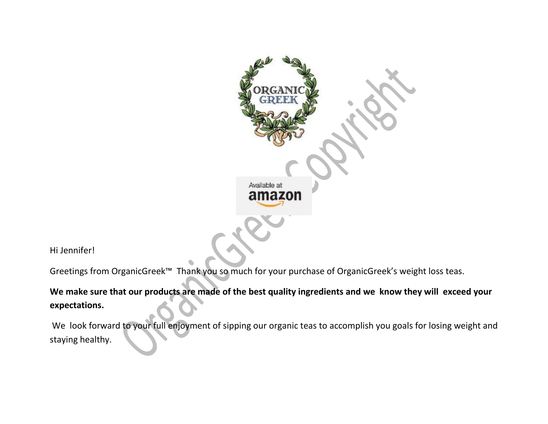

Hi Jennifer!

Greetings from OrganicGreek™ Thank you so much for your purchase of OrganicGreek's weight loss teas.

**We make sure that our products are made of the best quality ingredients and we know they will exceed your expectations.**

We look forward to your full enjoyment of sipping our organic teas to accomplish you goals for losing weight and staying healthy.